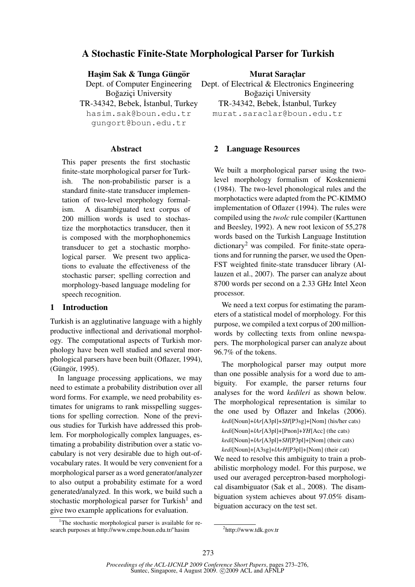# A Stochastic Finite-State Morphological Parser for Turkish

Hasim Sak & Tunga Güngör

Dept. of Computer Engineering Boğazici University

TR-34342, Bebek, İstanbul, Turkey hasim.sak@boun.edu.tr gungort@boun.edu.tr

#### Abstract

This paper presents the first stochastic finite-state morphological parser for Turkish. The non-probabilistic parser is a standard finite-state transducer implementation of two-level morphology formalism. A disambiguated text corpus of 200 million words is used to stochastize the morphotactics transducer, then it is composed with the morphophonemics transducer to get a stochastic morphological parser. We present two applications to evaluate the effectiveness of the stochastic parser; spelling correction and morphology-based language modeling for speech recognition.

#### 1 Introduction

Turkish is an agglutinative language with a highly productive inflectional and derivational morphology. The computational aspects of Turkish morphology have been well studied and several morphological parsers have been built (Oflazer, 1994), (Güngör, 1995).

In language processing applications, we may need to estimate a probability distribution over all word forms. For example, we need probability estimates for unigrams to rank misspelling suggestions for spelling correction. None of the previous studies for Turkish have addressed this problem. For morphologically complex languages, estimating a probability distribution over a static vocabulary is not very desirable due to high out-ofvocabulary rates. It would be very convenient for a morphological parser as a word generator/analyzer to also output a probability estimate for a word generated/analyzed. In this work, we build such a stochastic morphological parser for Turkish<sup>1</sup> and give two example applications for evaluation.

<sup>1</sup>The stochastic morphological parser is available for research purposes at http://www.cmpe.boun.edu.tr/~hasim

**Murat Saraclar** Dept. of Electrical & Electronics Engineering Boğazici University

TR-34342, Bebek, İstanbul, Turkey murat.saraclar@boun.edu.tr

### 2 Language Resources

We built a morphological parser using the twolevel morphology formalism of Koskenniemi (1984). The two-level phonological rules and the morphotactics were adapted from the PC-KIMMO implementation of Oflazer (1994). The rules were compiled using the *twolc* rule compiler (Karttunen and Beesley, 1992). A new root lexicon of 55,278 words based on the Turkish Language Institution dictionary<sup>2</sup> was compiled. For finite-state operations and for running the parser, we used the Open-FST weighted finite-state transducer library (Allauzen et al., 2007). The parser can analyze about 8700 words per second on a 2.33 GHz Intel Xeon processor.

We need a text corpus for estimating the parameters of a statistical model of morphology. For this purpose, we compiled a text corpus of 200 millionwords by collecting texts from online newspapers. The morphological parser can analyze about 96.7% of the tokens.

The morphological parser may output more than one possible analysis for a word due to ambiguity. For example, the parser returns four analyses for the word *kedileri* as shown below. The morphological representation is similar to the one used by Oflazer and Inkelas (2006). *kedi*[Noun]+*lAr*[A3pl]+*SH*[P3sg]+[Nom] (his/her cats) *kedi*[Noun]+*lAr*[A3pl]+[Pnon]+*YH*[Acc] (the cats) *kedi*[Noun]+*lAr*[A3pl]+*SH*[P3pl]+[Nom] (their cats) *kedi*[Noun]+[A3sg]+*lArH*[P3pl]+[Nom] (their cat)

We need to resolve this ambiguity to train a probabilistic morphology model. For this purpose, we used our averaged perceptron-based morphological disambiguator (Sak et al., 2008). The disambiguation system achieves about 97.05% disambiguation accuracy on the test set.

<sup>2</sup> http://www.tdk.gov.tr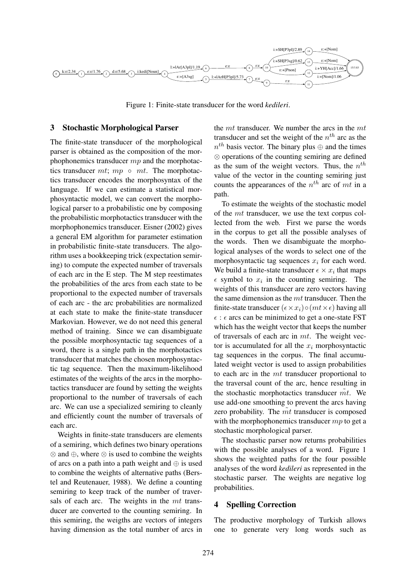

Figure 1: Finite-state transducer for the word *kedileri*.

#### 3 Stochastic Morphological Parser

The finite-state transducer of the morphological parser is obtained as the composition of the morphophonemics transducer  $mp$  and the morphotactics transducer  $mt$ ;  $mp \circ mt$ . The morphotactics transducer encodes the morphosyntax of the language. If we can estimate a statistical morphosyntactic model, we can convert the morphological parser to a probabilistic one by composing the probabilistic morphotactics transducer with the morphophonemics transducer. Eisner (2002) gives a general EM algorithm for parameter estimation in probabilistic finite-state transducers. The algorithm uses a bookkeeping trick (expectation semiring) to compute the expected number of traversals of each arc in the E step. The M step reestimates the probabilities of the arcs from each state to be proportional to the expected number of traversals of each arc - the arc probabilities are normalized at each state to make the finite-state transducer Markovian. However, we do not need this general method of training. Since we can disambiguate the possible morphosyntactic tag sequences of a word, there is a single path in the morphotactics transducer that matches the chosen morphosyntactic tag sequence. Then the maximum-likelihood estimates of the weights of the arcs in the morphotactics transducer are found by setting the weights proportional to the number of traversals of each arc. We can use a specialized semiring to cleanly and efficiently count the number of traversals of each arc.

Weights in finite-state transducers are elements of a semiring, which defines two binary operations ⊗ and ⊕, where ⊗ is used to combine the weights of arcs on a path into a path weight and  $\oplus$  is used to combine the weights of alternative paths (Berstel and Reutenauer, 1988). We define a counting semiring to keep track of the number of traversals of each arc. The weights in the mt transducer are converted to the counting semiring. In this semiring, the weigths are vectors of integers having dimension as the total number of arcs in the  $mt$  transducer. We number the arcs in the  $mt$ transducer and set the weight of the  $n<sup>th</sup>$  arc as the  $n^{th}$  basis vector. The binary plus  $\oplus$  and the times ⊗ operations of the counting semiring are defined as the sum of the weight vectors. Thus, the  $n^{th}$ value of the vector in the counting semiring just counts the appearances of the  $n^{th}$  arc of mt in a path.

To estimate the weights of the stochastic model of the mt transducer, we use the text corpus collected from the web. First we parse the words in the corpus to get all the possible analyses of the words. Then we disambiguate the morphological analyses of the words to select one of the morphosyntactic tag sequences  $x_i$  for each word. We build a finite-state transducer  $\epsilon \times x_i$  that maps  $\epsilon$  symbol to  $x_i$  in the counting semiring. The weights of this transducer are zero vectors having the same dimension as the  $mt$  transducer. Then the finite-state transducer ( $\epsilon \times x_i$ )  $\circ$  ( $mt \times \epsilon$ ) having all  $\epsilon$ :  $\epsilon$  arcs can be minimized to get a one-state FST which has the weight vector that keeps the number of traversals of each arc in  $mt$ . The weight vector is accumulated for all the  $x_i$  morphosyntactic tag sequences in the corpus. The final accumulated weight vector is used to assign probabilities to each arc in the mt transducer proportional to the traversal count of the arc, hence resulting in the stochastic morphotactics transducer  $m\tilde{t}$ . We use add-one smoothing to prevent the arcs having zero probability. The  $m$ t transducer is composed with the morphophonemics transducer  $mp$  to get a stochastic morphological parser.

The stochastic parser now returns probabilities with the possible analyses of a word. Figure 1 shows the weighted paths for the four possible analyses of the word *kedileri* as represented in the stochastic parser. The weights are negative log probabilities.

#### 4 Spelling Correction

The productive morphology of Turkish allows one to generate very long words such as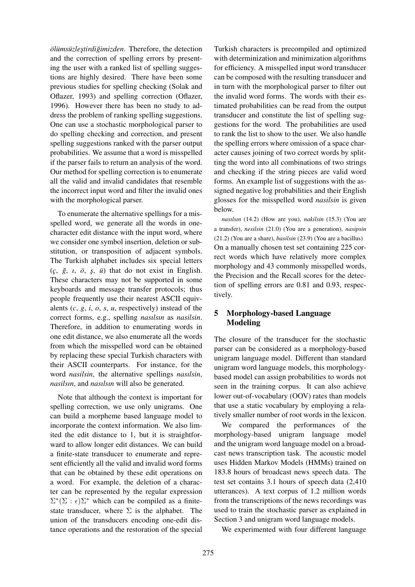$ölims{\bf i}z$ *lestirdiğimizden*. Therefore, the detection and the correction of spelling errors by presenting the user with a ranked list of spelling suggestions are highly desired. There have been some previous studies for spelling checking (Solak and Oflazer, 1993) and spelling correction (Oflazer, 1996). However there has been no study to address the problem of ranking spelling suggestions. One can use a stochastic morphological parser to do spelling checking and correction, and present spelling suggestions ranked with the parser output probabilities. We assume that a word is misspelled if the parser fails to return an analysis of the word. Our method for spelling correction is to enumerate all the valid and invalid candidates that resemble the incorrect input word and filter the invalid ones with the morphological parser.

To enumerate the alternative spellings for a misspelled word, we generate all the words in onecharacter edit distance with the input word, where we consider one symbol insertion, deletion or substitution, or transposition of adjacent symbols. The Turkish alphabet includes six special letters  $(c, \xi, \iota, \delta, \varsigma, \iota)$  that do not exist in English. These characters may not be supported in some keyboards and message transfer protocols; thus people frequently use their nearest ASCII equivalents (*c*, *g*, *i*, *o*, *s*, *u*, respectively) instead of the correct forms, e.g., spelling *nasılsın* as *nasilsin*. Therefore, in addition to enumerating words in one edit distance, we also enumerate all the words from which the misspelled word can be obtained by replacing these special Turkish characters with their ASCII counterparts. For instance, for the word *nasilsin*, the alternative spellings *nasılsin*, *nasilsın*, and *nasılsın* will also be generated.

Note that although the context is important for spelling correction, we use only unigrams. One can build a morpheme based language model to incorporate the context information. We also limited the edit distance to 1, but it is straightforward to allow longer edit distances. We can build a finite-state transducer to enumerate and represent efficiently all the valid and invalid word forms that can be obtained by these edit operations on a word. For example, the deletion of a character can be represented by the regular expression  $\Sigma^*(\Sigma : \epsilon) \Sigma^*$  which can be compiled as a finitestate transducer, where  $\Sigma$  is the alphabet. The union of the transducers encoding one-edit distance operations and the restoration of the special

Turkish characters is precompiled and optimized with determinization and minimization algorithms for efficiency. A misspelled input word transducer can be composed with the resulting transducer and in turn with the morphological parser to filter out the invalid word forms. The words with their estimated probabilities can be read from the output transducer and constitute the list of spelling suggestions for the word. The probabilities are used to rank the list to show to the user. We also handle the spelling errors where omission of a space character causes joining of two correct words by splitting the word into all combinations of two strings and checking if the string pieces are valid word forms. An example list of suggestions with the assigned negative log probabilities and their English glosses for the misspelled word *nasilsin* is given below.

*nasılsın* (14.2) (How are you), *nakilsin* (15.3) (You are a transfer), *nesilsin* (21.0) (You are a generation), *nasipsin* (21.2) (You are a share), *basilsin* (23.9) (You are a bacillus) On a manually chosen test set containing 225 correct words which have relatively more complex morphology and 43 commonly misspelled words, the Precision and the Recall scores for the detection of spelling errors are 0.81 and 0.93, respectively.

## 5 Morphology-based Language Modeling

The closure of the transducer for the stochastic parser can be considered as a morphology-based unigram language model. Different than standard unigram word language models, this morphologybased model can assign probabilities to words not seen in the training corpus. It can also achieve lower out-of-vocabulary (OOV) rates than models that use a static vocabulary by employing a relatively smaller number of root words in the lexicon.

We compared the performances of the morphology-based unigram language model and the unigram word language model on a broadcast news transcription task. The acoustic model uses Hidden Markov Models (HMMs) trained on 183.8 hours of broadcast news speech data. The test set contains 3.1 hours of speech data (2,410 utterances). A text corpus of 1.2 million words from the transcriptions of the news recordings was used to train the stochastic parser as explained in Section 3 and unigram word language models.

We experimented with four different language